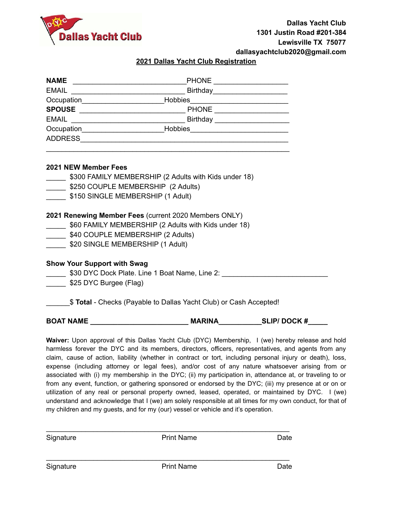

#### **2021 Dallas Yacht Club Registration**

|                                                           | Occupation_______________________________Hobbies________________________________ |  |  |  |
|-----------------------------------------------------------|----------------------------------------------------------------------------------|--|--|--|
|                                                           |                                                                                  |  |  |  |
|                                                           |                                                                                  |  |  |  |
| 2021 NEW Member Fees                                      |                                                                                  |  |  |  |
|                                                           | S300 FAMILY MEMBERSHIP (2 Adults with Kids under 18)                             |  |  |  |
| S250 COUPLE MEMBERSHIP (2 Adults)                         |                                                                                  |  |  |  |
|                                                           | \$150 SINGLE MEMBERSHIP (1 Adult)                                                |  |  |  |
| 2021 Renewing Member Fees (current 2020 Members ONLY)     |                                                                                  |  |  |  |
| [18] \$60 FAMILY MEMBERSHIP (2 Adults with Kids under 18) |                                                                                  |  |  |  |
|                                                           | \$40 COUPLE MEMBERSHIP (2 Adults)                                                |  |  |  |
|                                                           | \$20 SINGLE MEMBERSHIP (1 Adult)                                                 |  |  |  |
|                                                           | <b>Show Your Support with Swag</b>                                               |  |  |  |
|                                                           |                                                                                  |  |  |  |
|                                                           | \$25 DYC Burgee (Flag)                                                           |  |  |  |
|                                                           | \$ Total - Checks (Payable to Dallas Yacht Club) or Cash Accepted!               |  |  |  |
| <b>BOAT NAME</b>                                          | <b>MARINA</b><br><b>SLIP/DOCK#</b>                                               |  |  |  |

**Waiver:** Upon approval of this Dallas Yacht Club (DYC) Membership, I (we) hereby release and hold harmless forever the DYC and its members, directors, officers, representatives, and agents from any claim, cause of action, liability (whether in contract or tort, including personal injury or death), loss, expense (including attorney or legal fees), and/or cost of any nature whatsoever arising from or associated with (i) my membership in the DYC; (ii) my participation in, attendance at, or traveling to or from any event, function, or gathering sponsored or endorsed by the DYC; (iii) my presence at or on or utilization of any real or personal property owned, leased, operated, or maintained by DYC. I (we) understand and acknowledge that I (we) am solely responsible at all times for my own conduct, for that of my children and my guests, and for my (our) vessel or vehicle and it's operation.

| Signature | <b>Print Name</b> | Date |
|-----------|-------------------|------|
|           |                   |      |
| Signature | <b>Print Name</b> | Date |